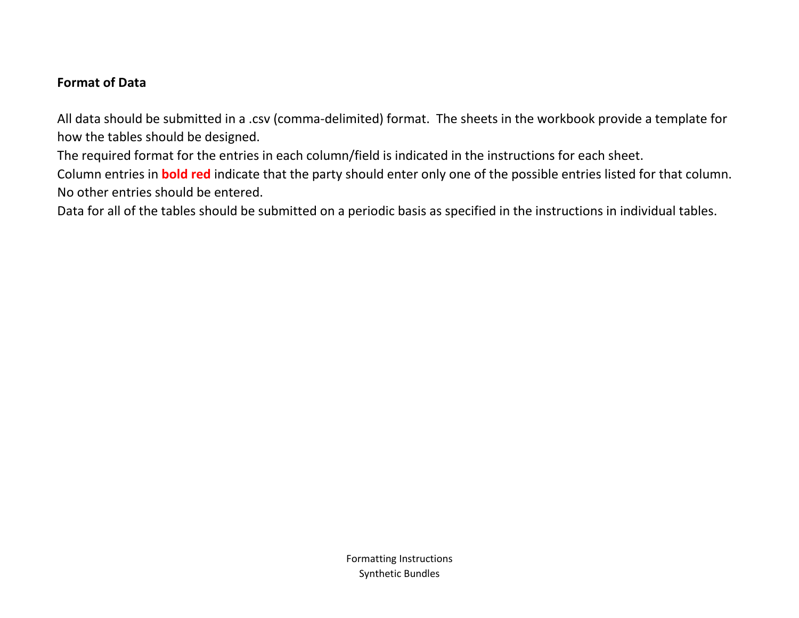## **Format of Data**

All data should be submitted in a .csv (comma-delimited) format. The sheets in the workbook provide a template for how the tables should be designed.

The required format for the entries in each column/field is indicated in the instructions for each sheet.

Column entries in **bold red** indicate that the party should enter only one of the possible entries listed for that column. No other entries should be entered.

Data for all of the tables should be submitted on a periodic basis as specified in the instructions in individual tables.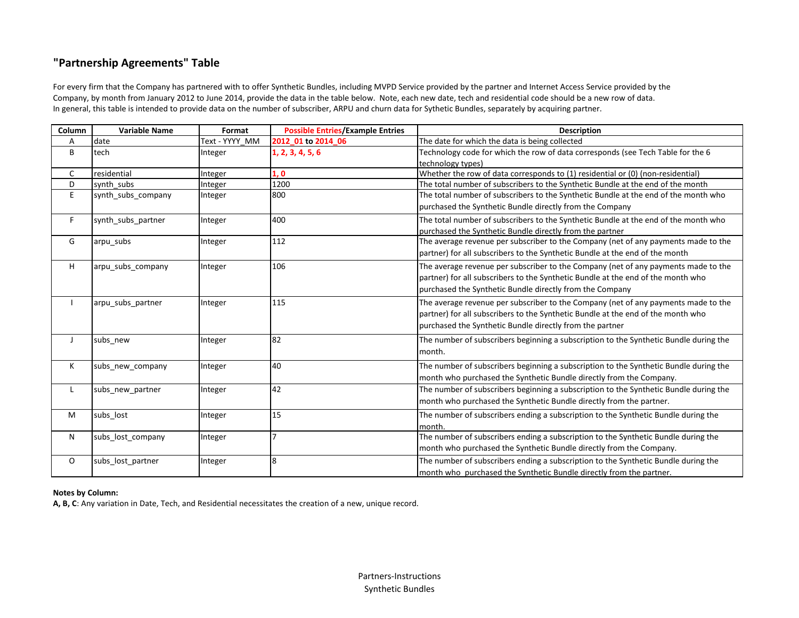## **"Partnership Agreements" Table**

For every firm that the Company has partnered with to offer Synthetic Bundles, including MVPD Service provided by the partner and Internet Access Service provided by the Company, by month from January 2012 to June 2014, provide the data in the table below. Note, each new date, tech and residential code should be a new row of data. In general, this table is intended to provide data on the number of subscriber, ARPU and churn data for Sythetic Bundles, separately by acquiring partner.

| Column | <b>Variable Name</b> | Format         | <b>Possible Entries/Example Entries</b> | <b>Description</b>                                                                    |
|--------|----------------------|----------------|-----------------------------------------|---------------------------------------------------------------------------------------|
| A      | date                 | Text - YYYY MM | 2012 01 to 2014 06                      | The date for which the data is being collected                                        |
| B      | tech                 | Integer        | 1, 2, 3, 4, 5, 6                        | Technology code for which the row of data corresponds (see Tech Table for the 6       |
|        |                      |                |                                         | technology types)                                                                     |
| C      | residential          | Integer        | 1, 0                                    | Whether the row of data corresponds to (1) residential or (0) (non-residential)       |
| D      | synth subs           | Integer        | 1200                                    | The total number of subscribers to the Synthetic Bundle at the end of the month       |
| E      | synth subs company   | Integer        | 800                                     | The total number of subscribers to the Synthetic Bundle at the end of the month who   |
|        |                      |                |                                         | purchased the Synthetic Bundle directly from the Company                              |
| F      | synth subs partner   | Integer        | 400                                     | The total number of subscribers to the Synthetic Bundle at the end of the month who   |
|        |                      |                |                                         | purchased the Synthetic Bundle directly from the partner                              |
| G      | arpu subs            | Integer        | 112                                     | The average revenue per subscriber to the Company (net of any payments made to the    |
|        |                      |                |                                         | partner) for all subscribers to the Synthetic Bundle at the end of the month          |
| Н.     | arpu_subs_company    | Integer        | 106                                     | The average revenue per subscriber to the Company (net of any payments made to the    |
|        |                      |                |                                         | partner) for all subscribers to the Synthetic Bundle at the end of the month who      |
|        |                      |                |                                         | purchased the Synthetic Bundle directly from the Company                              |
|        | arpu_subs_partner    | Integer        | 115                                     | The average revenue per subscriber to the Company (net of any payments made to the    |
|        |                      |                |                                         | partner) for all subscribers to the Synthetic Bundle at the end of the month who      |
|        |                      |                |                                         | purchased the Synthetic Bundle directly from the partner                              |
| J      |                      |                | 82                                      |                                                                                       |
|        | subs new             | Integer        |                                         | The number of subscribers beginning a subscription to the Synthetic Bundle during the |
|        |                      |                |                                         | month.                                                                                |
| Κ      | subs new company     | Integer        | 40                                      | The number of subscribers beginning a subscription to the Synthetic Bundle during the |
|        |                      |                |                                         | month who purchased the Synthetic Bundle directly from the Company.                   |
| L      | subs new partner     | Integer        | 42                                      | The number of subscribers beginning a subscription to the Synthetic Bundle during the |
|        |                      |                |                                         | month who purchased the Synthetic Bundle directly from the partner.                   |
| M      | subs_lost            | Integer        | 15                                      | The number of subscribers ending a subscription to the Synthetic Bundle during the    |
|        |                      |                |                                         | month.                                                                                |
| N      | subs lost company    | Integer        |                                         | The number of subscribers ending a subscription to the Synthetic Bundle during the    |
|        |                      |                |                                         | month who purchased the Synthetic Bundle directly from the Company.                   |
| 0      | subs_lost_partner    | Integer        | 8                                       | The number of subscribers ending a subscription to the Synthetic Bundle during the    |
|        |                      |                |                                         | month who purchased the Synthetic Bundle directly from the partner.                   |

## **Notes by Column:**

**A, B, C**: Any variation in Date, Tech, and Residential necessitates the creation of a new, unique record.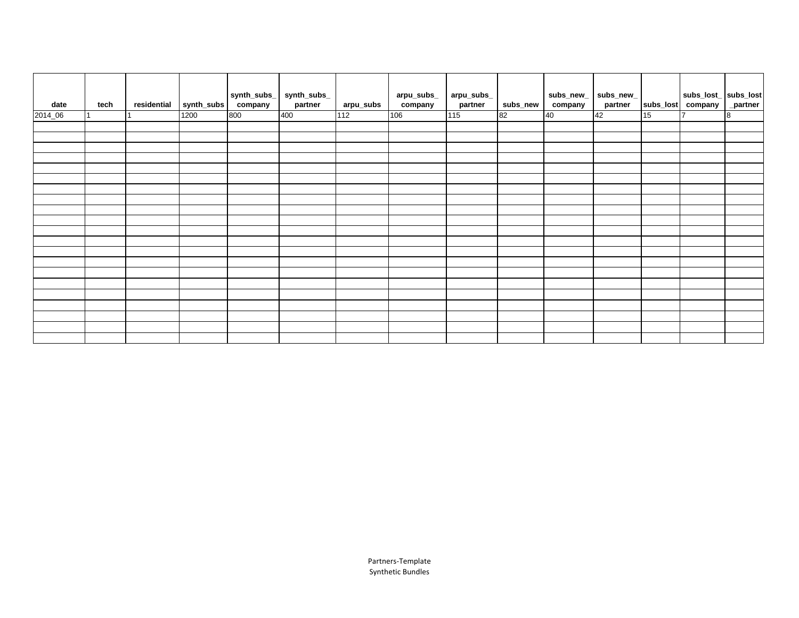| date    | tech | residential | synth_subs | synth_subs_<br>company | $synth\_subs$<br>partner | arpu_subs       | arpu_subs_<br>company | arpu_subs_<br>partner | subs_new | $subs\_new$<br>company | $subs$ _new_<br>partner | subs_lost | subs_lost_ subs_lost<br>company | _partner |
|---------|------|-------------|------------|------------------------|--------------------------|-----------------|-----------------------|-----------------------|----------|------------------------|-------------------------|-----------|---------------------------------|----------|
| 2014_06 |      |             | 1200       | 800                    | 400                      | $\frac{112}{2}$ | 106                   | 115                   | 82       | 40                     | 42                      | 15        |                                 | 8        |
|         |      |             |            |                        |                          |                 |                       |                       |          |                        |                         |           |                                 |          |
|         |      |             |            |                        |                          |                 |                       |                       |          |                        |                         |           |                                 |          |
|         |      |             |            |                        |                          |                 |                       |                       |          |                        |                         |           |                                 |          |
|         |      |             |            |                        |                          |                 |                       |                       |          |                        |                         |           |                                 |          |
|         |      |             |            |                        |                          |                 |                       |                       |          |                        |                         |           |                                 |          |
|         |      |             |            |                        |                          |                 |                       |                       |          |                        |                         |           |                                 |          |
|         |      |             |            |                        |                          |                 |                       |                       |          |                        |                         |           |                                 |          |
|         |      |             |            |                        |                          |                 |                       |                       |          |                        |                         |           |                                 |          |
|         |      |             |            |                        |                          |                 |                       |                       |          |                        |                         |           |                                 |          |
|         |      |             |            |                        |                          |                 |                       |                       |          |                        |                         |           |                                 |          |
|         |      |             |            |                        |                          |                 |                       |                       |          |                        |                         |           |                                 |          |
|         |      |             |            |                        |                          |                 |                       |                       |          |                        |                         |           |                                 |          |
|         |      |             |            |                        |                          |                 |                       |                       |          |                        |                         |           |                                 |          |
|         |      |             |            |                        |                          |                 |                       |                       |          |                        |                         |           |                                 |          |
|         |      |             |            |                        |                          |                 |                       |                       |          |                        |                         |           |                                 |          |
|         |      |             |            |                        |                          |                 |                       |                       |          |                        |                         |           |                                 |          |
|         |      |             |            |                        |                          |                 |                       |                       |          |                        |                         |           |                                 |          |
|         |      |             |            |                        |                          |                 |                       |                       |          |                        |                         |           |                                 |          |
|         |      |             |            |                        |                          |                 |                       |                       |          |                        |                         |           |                                 |          |
|         |      |             |            |                        |                          |                 |                       |                       |          |                        |                         |           |                                 |          |
|         |      |             |            |                        |                          |                 |                       |                       |          |                        |                         |           |                                 |          |